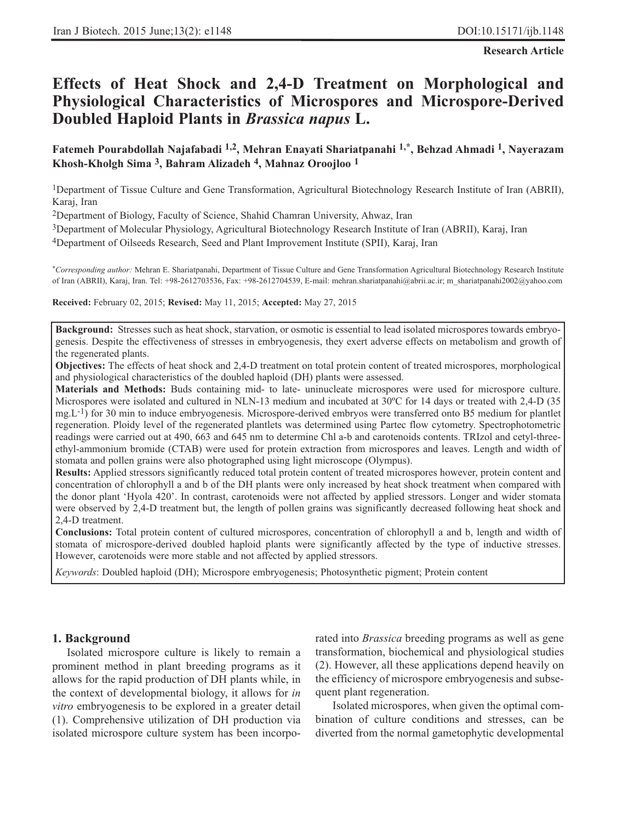**Research Article**

# **Effects of Heat Shock and 2,4-D Treatment on Morphological and Physiological Characteristics of Microspores and Microspore-Derived Doubled Haploid Plants in** *Brassica napus* **L.**

**Fatemeh Pourabdollah Najafabadi 1,2, Mehran Enayati Shariatpanahi 1,\*, Behzad Ahmadi 1, Nayerazam Khosh-Kholgh Sima 3, Bahram Alizadeh 4, Mahnaz Oroojloo 1**

1Department of Tissue Culture and Gene Transformation, Agricultural Biotechnology Research Institute of Iran (ABRII), Karaj, Iran

2Department of Biology, Faculty of Science, Shahid Chamran University, Ahwaz, Iran

3Department of Molecular Physiology, Agricultural Biotechnology Research Institute of Iran (ABRII), Karaj, Iran

4Department of Oilseeds Research, Seed and Plant Improvement Institute (SPII), Karaj, Iran

\**Corresponding author:* Mehran E. Shariatpanahi, Department of Tissue Culture and Gene Transformation Agricultural Biotechnology Research Institute of Iran (ABRII), Karaj, Iran. Tel: +98-2612703536, Fax: +98-2612704539, E-mail: mehran.shariatpanahi@abrii.ac.ir; m\_shariatpanahi2002@yahoo.com

#### **Received:** February 02, 2015; **Revised:** May 11, 2015; **Accepted:** May 27, 2015

**Background:** Stresses such as heat shock, starvation, or osmotic is essential to lead isolated microspores towards embryogenesis. Despite the effectiveness of stresses in embryogenesis, they exert adverse effects on metabolism and growth of the regenerated plants.

**Objectives:** The effects of heat shock and 2,4-D treatment on total protein content of treated microspores, morphological and physiological characteristics of the doubled haploid (DH) plants were assessed.

**Materials and Methods:** Buds containing mid- to late- uninucleate microspores were used for microspore culture. Microspores were isolated and cultured in NLN-13 medium and incubated at 30ºC for 14 days or treated with 2,4-D (35 mg.L<sup>-1</sup>) for 30 min to induce embryogenesis. Microspore-derived embryos were transferred onto B5 medium for plantlet regeneration. Ploidy level of the regenerated plantlets was determined using Partec flow cytometry. Spectrophotometric readings were carried out at 490, 663 and 645 nm to determine Chl a-b and carotenoids contents. TRIzol and cetyl-threeethyl-ammonium bromide (CTAB) were used for protein extraction from microspores and leaves. Length and width of stomata and pollen grains were also photographed using light microscope (Olympus).

**Results:** Applied stressors significantly reduced total protein content of treated microspores however, protein content and concentration of chlorophyll a and b of the DH plants were only increased by heat shock treatment when compared with the donor plant 'Hyola 420'. In contrast, carotenoids were not affected by applied stressors. Longer and wider stomata were observed by 2,4-D treatment but, the length of pollen grains was significantly decreased following heat shock and 2,4-D treatment.

**Conclusions:** Total protein content of cultured microspores, concentration of chlorophyll a and b, length and width of stomata of microspore-derived doubled haploid plants were significantly affected by the type of inductive stresses. However, carotenoids were more stable and not affected by applied stressors.

*Keywords*: Doubled haploid (DH); Microspore embryogenesis; Photosynthetic pigment; Protein content

# **1. Background**

Isolated microspore culture is likely to remain a prominent method in plant breeding programs as it allows for the rapid production of DH plants while, in the context of developmental biology, it allows for *in vitro* embryogenesis to be explored in a greater detail (1). Comprehensive utilization of DH production via isolated microspore culture system has been incorporated into *Brassica* breeding programs as well as gene transformation, biochemical and physiological studies (2). However, all these applications depend heavily on the efficiency of microspore embryogenesis and subsequent plant regeneration.

Isolated microspores, when given the optimal combination of culture conditions and stresses, can be diverted from the normal gametophytic developmental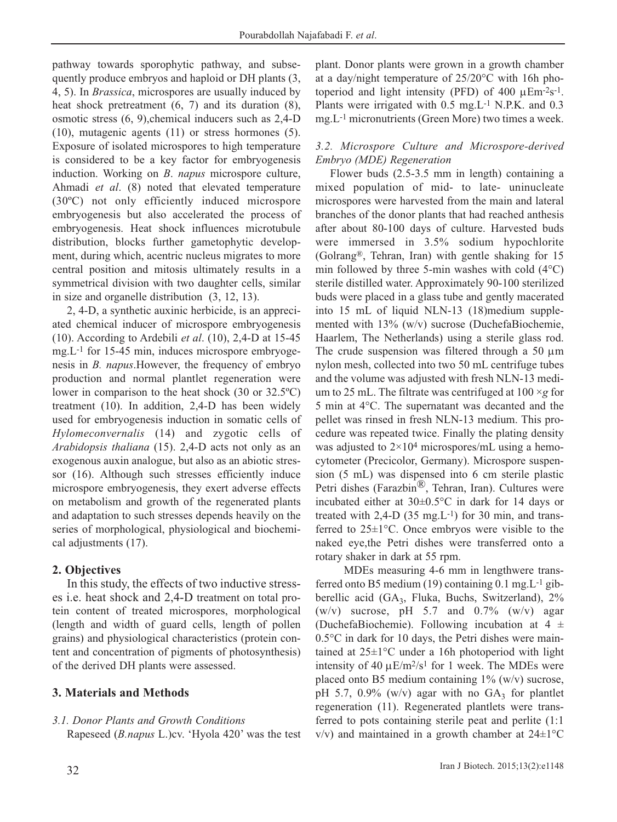pathway towards sporophytic pathway, and subsequently produce embryos and haploid or DH plants (3, 4, 5). In *Brassica*, microspores are usually induced by heat shock pretreatment (6, 7) and its duration (8), osmotic stress (6, 9),chemical inducers such as 2,4-D (10), mutagenic agents (11) or stress hormones (5). Exposure of isolated microspores to high temperature is considered to be a key factor for embryogenesis induction. Working on *B*. *napus* microspore culture, Ahmadi *et al*. (8) noted that elevated temperature (30ºC) not only efficiently induced microspore embryogenesis but also accelerated the process of embryogenesis. Heat shock influences microtubule distribution, blocks further gametophytic development, during which, acentric nucleus migrates to more central position and mitosis ultimately results in a symmetrical division with two daughter cells, similar in size and organelle distribution (3, 12, 13).

2, 4-D, a synthetic auxinic herbicide, is an appreciated chemical inducer of microspore embryogenesis (10). According to Ardebili *et al*. (10), 2,4-D at 15-45 mg.L-1 for 15-45 min, induces microspore embryogenesis in *B. napus*.However, the frequency of embryo production and normal plantlet regeneration were lower in comparison to the heat shock (30 or 32.5ºC) treatment (10). In addition, 2,4-D has been widely used for embryogenesis induction in somatic cells of *Hylomeconvernalis* (14) and zygotic cells of *Arabidopsis thaliana* (15). 2,4-D acts not only as an exogenous auxin analogue, but also as an abiotic stressor (16). Although such stresses efficiently induce microspore embryogenesis, they exert adverse effects on metabolism and growth of the regenerated plants and adaptation to such stresses depends heavily on the series of morphological, physiological and biochemical adjustments (17).

# **2. Objectives**

In this study, the effects of two inductive stresses i.e. heat shock and 2,4-D treatment on total protein content of treated microspores, morphological (length and width of guard cells, length of pollen grains) and physiological characteristics (protein content and concentration of pigments of photosynthesis) of the derived DH plants were assessed.

# **3. Materials and Methods**

# *3.1. Donor Plants and Growth Conditions*

Rapeseed (*B.napus* L.)cv. 'Hyola 420' was the test

plant. Donor plants were grown in a growth chamber at a day/night temperature of 25/20°C with 16h photoperiod and light intensity (PFD) of 400  $\mu$ Em<sup>-2</sup>s<sup>-1</sup>. Plants were irrigated with 0.5 mg.L-1 N.P.K. and 0.3 mg.L-1 micronutrients (Green More) two times a week.

# *3.2. Microspore Culture and Microspore-derived Embryo (MDE) Regeneration*

Flower buds (2.5-3.5 mm in length) containing a mixed population of mid- to late- uninucleate microspores were harvested from the main and lateral branches of the donor plants that had reached anthesis after about 80-100 days of culture. Harvested buds were immersed in 3.5% sodium hypochlorite (Golrang®, Tehran, Iran) with gentle shaking for 15 min followed by three 5-min washes with cold (4°C) sterile distilled water. Approximately 90-100 sterilized buds were placed in a glass tube and gently macerated into 15 mL of liquid NLN-13 (18)medium supplemented with 13% (w/v) sucrose (DuchefaBiochemie, Haarlem, The Netherlands) using a sterile glass rod. The crude suspension was filtered through a 50  $\mu$ m nylon mesh, collected into two 50 mL centrifuge tubes and the volume was adjusted with fresh NLN-13 medium to 25 mL. The filtrate was centrifuged at 100 ×*g* for 5 min at 4°C. The supernatant was decanted and the pellet was rinsed in fresh NLN-13 medium. This procedure was repeated twice. Finally the plating density was adjusted to  $2 \times 10^4$  microspores/mL using a hemocytometer (Precicolor, Germany). Microspore suspension (5 mL) was dispensed into 6 cm sterile plastic Petri dishes (Farazbin®, Tehran, Iran). Cultures were incubated either at 30±0.5°C in dark for 14 days or treated with  $2,4-D$  (35 mg.L<sup>-1</sup>) for 30 min, and transferred to 25±1°C. Once embryos were visible to the naked eye,the Petri dishes were transferred onto a rotary shaker in dark at 55 rpm.

MDEs measuring 4-6 mm in lengthwere transferred onto B5 medium (19) containing  $0.1$  mg. $L^{-1}$  gibberellic acid (GA $_3$ , Fluka, Buchs, Switzerland), 2%  $(w/v)$  sucrose, pH 5.7 and 0.7%  $(w/v)$  agar (DuchefaBiochemie). Following incubation at  $4 \pm$ 0.5°C in dark for 10 days, the Petri dishes were maintained at 25±1°C under a 16h photoperiod with light intensity of 40  $\mu$ E/m<sup>2</sup>/s<sup>1</sup> for 1 week. The MDEs were placed onto B5 medium containing  $1\%$  (w/v) sucrose, pH 5.7, 0.9% (w/v) agar with no  $GA_3$  for plantlet regeneration (11). Regenerated plantlets were transferred to pots containing sterile peat and perlite (1:1  $v/v$ ) and maintained in a growth chamber at 24 $\pm$ 1°C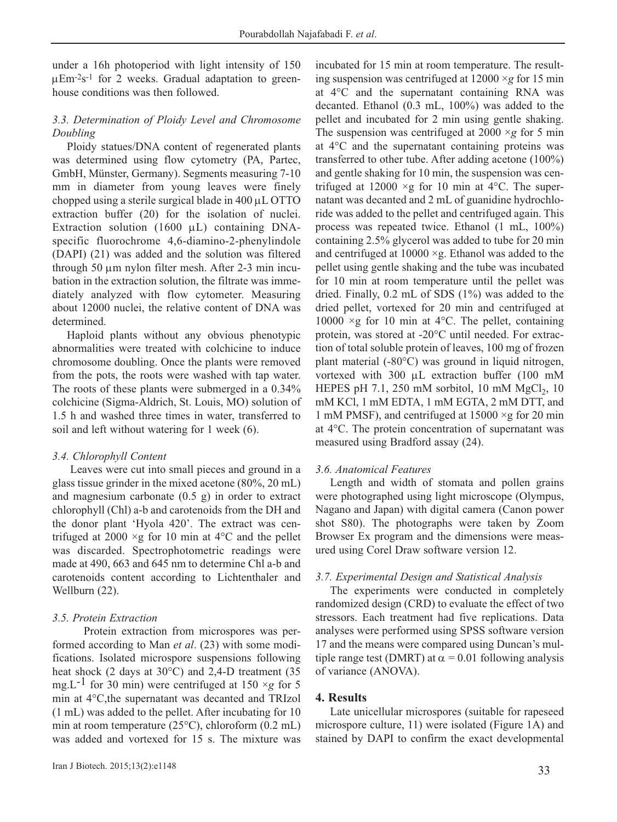under a 16h photoperiod with light intensity of 150  $\mu$ Em<sup>-2</sup>s<sup>-1</sup> for 2 weeks. Gradual adaptation to greenhouse conditions was then followed.

### *3.3. Determination of Ploidy Level and Chromosome Doubling*

Ploidy statues/DNA content of regenerated plants was determined using flow cytometry (PA, Partec, GmbH, Münster, Germany). Segments measuring 7-10 mm in diameter from young leaves were finely chopped using a sterile surgical blade in 400 μL OTTO extraction buffer (20) for the isolation of nuclei. Extraction solution (1600 μL) containing DNAspecific fluorochrome 4,6-diamino-2-phenylindole (DAPI) (21) was added and the solution was filtered through 50 μm nylon filter mesh. After 2-3 min incubation in the extraction solution, the filtrate was immediately analyzed with flow cytometer. Measuring about 12000 nuclei, the relative content of DNA was determined.

Haploid plants without any obvious phenotypic abnormalities were treated with colchicine to induce chromosome doubling. Once the plants were removed from the pots, the roots were washed with tap water. The roots of these plants were submerged in a 0.34% colchicine (Sigma-Aldrich, St. Louis, MO) solution of 1.5 h and washed three times in water, transferred to soil and left without watering for 1 week (6).

#### *3.4. Chlorophyll Content*

Leaves were cut into small pieces and ground in a glass tissue grinder in the mixed acetone (80%, 20 mL) and magnesium carbonate (0.5 g) in order to extract chlorophyll (Chl) a-b and carotenoids from the DH and the donor plant 'Hyola 420'. The extract was centrifuged at 2000  $\times g$  for 10 min at 4<sup>o</sup>C and the pellet was discarded. Spectrophotometric readings were made at 490, 663 and 645 nm to determine Chl a-b and carotenoids content according to Lichtenthaler and Wellburn (22).

# *3.5. Protein Extraction*

Protein extraction from microspores was performed according to Man *et al*. (23) with some modifications. Isolated microspore suspensions following heat shock (2 days at 30°C) and 2,4-D treatment (35 mg.L<sup>-1</sup> for 30 min) were centrifuged at 150  $\times$ *g* for 5 min at 4°C,the supernatant was decanted and TRIzol (1 mL) was added to the pellet. After incubating for 10 min at room temperature (25°C), chloroform (0.2 mL) was added and vortexed for 15 s. The mixture was incubated for 15 min at room temperature. The resulting suspension was centrifuged at 12000 ×*g* for 15 min at 4°C and the supernatant containing RNA was decanted. Ethanol (0.3 mL, 100%) was added to the pellet and incubated for 2 min using gentle shaking. The suspension was centrifuged at  $2000 \times g$  for 5 min at 4°C and the supernatant containing proteins was transferred to other tube. After adding acetone (100%) and gentle shaking for 10 min, the suspension was centrifuged at  $12000 \times g$  for 10 min at 4°C. The supernatant was decanted and 2 mL of guanidine hydrochloride was added to the pellet and centrifuged again. This process was repeated twice. Ethanol (1 mL, 100%) containing 2.5% glycerol was added to tube for 20 min and centrifuged at  $10000 \times g$ . Ethanol was added to the pellet using gentle shaking and the tube was incubated for 10 min at room temperature until the pellet was dried. Finally, 0.2 mL of SDS (1%) was added to the dried pellet, vortexed for 20 min and centrifuged at 10000  $\times$ g for 10 min at 4 $\rm{°C}$ . The pellet, containing protein, was stored at -20°C until needed. For extraction of total soluble protein of leaves, 100 mg of frozen plant material (-80°C) was ground in liquid nitrogen, vortexed with 300 μL extraction buffer (100 mM HEPES pH 7.1, 250 mM sorbitol, 10 mM  $MgCl<sub>2</sub>$ , 10 mM KCl, 1 mM EDTA, 1 mM EGTA, 2 mM DTT, and 1 mM PMSF), and centrifuged at  $15000 \times g$  for 20 min at 4°C. The protein concentration of supernatant was measured using Bradford assay (24).

#### *3.6. Anatomical Features*

Length and width of stomata and pollen grains were photographed using light microscope (Olympus, Nagano and Japan) with digital camera (Canon power shot S80). The photographs were taken by Zoom Browser Ex program and the dimensions were measured using Corel Draw software version 12.

#### *3.7. Experimental Design and Statistical Analysis*

The experiments were conducted in completely randomized design (CRD) to evaluate the effect of two stressors. Each treatment had five replications. Data analyses were performed using SPSS software version 17 and the means were compared using Duncan's multiple range test (DMRT) at  $\alpha$  = 0.01 following analysis of variance (ANOVA).

# **4. Results**

Late unicellular microspores (suitable for rapeseed microspore culture, 11) were isolated (Figure 1A) and stained by DAPI to confirm the exact developmental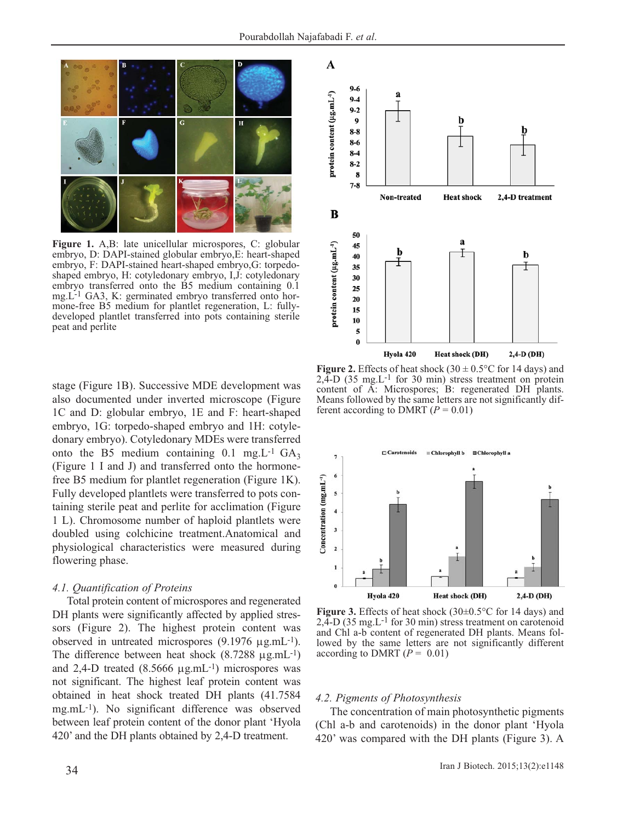

**Figure 1.** A,B: late unicellular microspores, C: globular embryo, D: DAPI-stained globular embryo,E: heart-shaped embryo, F: DAPI-stained heart-shaped embryo,G: torpedoshaped embryo, H: cotyledonary embryo, I,J: cotyledonary embryo transferred onto the B5 medium containing 0.1 mg.L-1 GA3, K: germinated embryo transferred onto hormone-free B5 medium for plantlet regeneration, L: fullydeveloped plantlet transferred into pots containing sterile peat and perlite

stage (Figure 1B). Successive MDE development was also documented under inverted microscope (Figure 1C and D: globular embryo, 1E and F: heart-shaped embryo, 1G: torpedo-shaped embryo and 1H: cotyledonary embryo). Cotyledonary MDEs were transferred onto the B5 medium containing  $0.1 \text{ mg}$ . L<sup>-1</sup> GA<sub>3</sub> (Figure 1 I and J) and transferred onto the hormonefree B5 medium for plantlet regeneration (Figure 1K). Fully developed plantlets were transferred to pots containing sterile peat and perlite for acclimation (Figure 1 L). Chromosome number of haploid plantlets were doubled using colchicine treatment.Anatomical and physiological characteristics were measured during flowering phase.

#### *4.1. Quantification of Proteins*

Total protein content of microspores and regenerated DH plants were significantly affected by applied stressors (Figure 2). The highest protein content was observed in untreated microspores (9.1976 μg.mL-1). The difference between heat shock  $(8.7288 \mu g.mL^{-1})$ and 2,4-D treated (8.5666 μg.mL-1) microspores was not significant. The highest leaf protein content was obtained in heat shock treated DH plants (41.7584 mg.mL-1). No significant difference was observed between leaf protein content of the donor plant 'Hyola 420' and the DH plants obtained by 2,4-D treatment.



**Figure 2.** Effects of heat shock (30  $\pm$  0.5 $\degree$ C for 14 days) and  $2,\xi$ -D (35 mg, $L^{-1}$  for 30 min) stress treatment on protein content of A: Microspores; B: regenerated DH plants. Means followed by the same letters are not significantly different according to DMRT  $(P = 0.01)$ 



**Figure 3.** Effects of heat shock (30±0.5°C for 14 days) and  $2,\tilde{4}$ -D (35 mg.L<sup>-1</sup> for 30 min) stress treatment on carotenoid and Chl a-b content of regenerated DH plants. Means followed by the same letters are not significantly different according to DMRT  $(P = 0.01)$ 

#### *4.2. Pigments of Photosynthesis*

The concentration of main photosynthetic pigments (Chl a-b and carotenoids) in the donor plant 'Hyola 420' was compared with the DH plants (Figure 3). A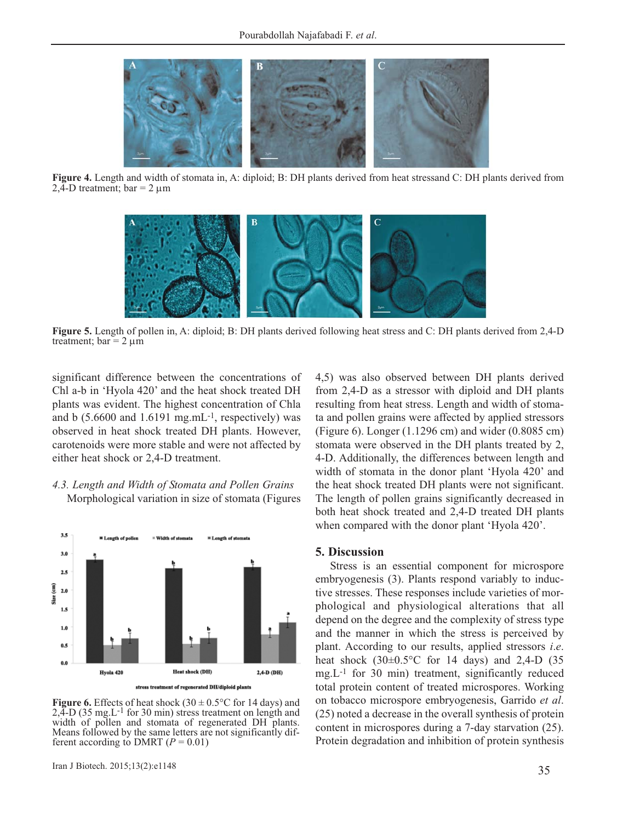

**Figure 4.** Length and width of stomata in, A: diploid; B: DH plants derived from heat stressand C: DH plants derived from  $2.\overline{4}$ -D treatment; bar = 2  $\mu$ m



**Figure 5.** Length of pollen in, A: diploid; B: DH plants derived following heat stress and C: DH plants derived from 2,4-D treatment;  $bar = 2 \mu m$ 

significant difference between the concentrations of Chl a-b in 'Hyola 420' and the heat shock treated DH plants was evident. The highest concentration of Chla and b  $(5.6600 \text{ and } 1.6191 \text{ mg.mL}^{-1})$ , respectively) was observed in heat shock treated DH plants. However, carotenoids were more stable and were not affected by either heat shock or 2,4-D treatment.

*4.3. Length and Width of Stomata and Pollen Grains* Morphological variation in size of stomata (Figures



**Figure 6.** Effects of heat shock  $(30 \pm 0.5^{\circ}\text{C})$  for 14 days) and  $2,\overset{3}{4}$ -D (35 mg.L<sup>-1</sup> for 30 min) stress treatment on length and width of pollen and stomata of regenerated DH plants. Means followed by the same letters are not significantly different according to DMRT  $(P = 0.01)$ 

4,5) was also observed between DH plants derived from 2,4-D as a stressor with diploid and DH plants resulting from heat stress. Length and width of stomata and pollen grains were affected by applied stressors (Figure 6). Longer (1.1296 cm) and wider (0.8085 cm) stomata were observed in the DH plants treated by 2, 4-D. Additionally, the differences between length and width of stomata in the donor plant 'Hyola 420' and the heat shock treated DH plants were not significant. The length of pollen grains significantly decreased in both heat shock treated and 2,4-D treated DH plants when compared with the donor plant 'Hyola 420'.

#### **5. Discussion**

Stress is an essential component for microspore embryogenesis (3). Plants respond variably to inductive stresses. These responses include varieties of morphological and physiological alterations that all depend on the degree and the complexity of stress type and the manner in which the stress is perceived by plant. According to our results, applied stressors *i*.*e*. heat shock  $(30\pm0.5^{\circ}\text{C}$  for 14 days) and 2,4-D  $(35$ mg.L-1 for 30 min) treatment, significantly reduced total protein content of treated microspores. Working on tobacco microspore embryogenesis, Garrido *et al*. (25) noted a decrease in the overall synthesis of protein content in microspores during a 7-day starvation (25). Protein degradation and inhibition of protein synthesis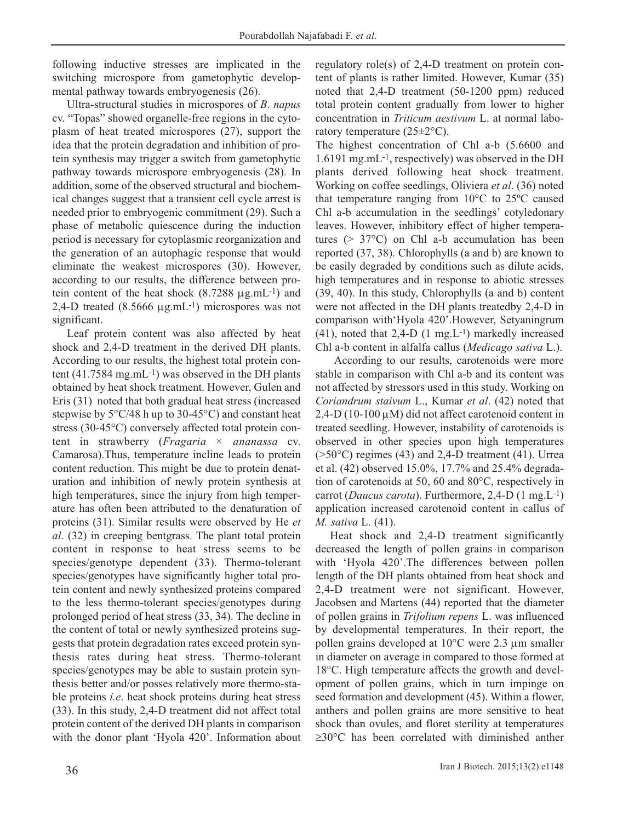following inductive stresses are implicated in the switching microspore from gametophytic developmental pathway towards embryogenesis (26).

Ultra-structural studies in microspores of *B*. *napus* cv. "Topas" showed organelle-free regions in the cytoplasm of heat treated microspores (27), support the idea that the protein degradation and inhibition of protein synthesis may trigger a switch from gametophytic pathway towards microspore embryogenesis (28). In addition, some of the observed structural and biochemical changes suggest that a transient cell cycle arrest is needed prior to embryogenic commitment (29). Such a phase of metabolic quiescence during the induction period is necessary for cytoplasmic reorganization and the generation of an autophagic response that would eliminate the weakest microspores (30). However, according to our results, the difference between protein content of the heat shock (8.7288 μg.mL-1) and 2,4-D treated  $(8.5666 \mu g.mL^{-1})$  microspores was not significant.

Leaf protein content was also affected by heat shock and 2,4-D treatment in the derived DH plants. According to our results, the highest total protein content  $(41.7584 \text{ mg.mL}^{-1})$  was observed in the DH plants obtained by heat shock treatment. However, Gulen and Eris (31) noted that both gradual heat stress (increased stepwise by  $5^{\circ}$ C/48 h up to 30-45 $^{\circ}$ C) and constant heat stress (30-45°C) conversely affected total protein content in strawberry (*Fragaria × ananassa* cv. Camarosa).Thus, temperature incline leads to protein content reduction. This might be due to protein denaturation and inhibition of newly protein synthesis at high temperatures, since the injury from high temperature has often been attributed to the denaturation of proteins (31). Similar results were observed by He *et al*. (32) in creeping bentgrass. The plant total protein content in response to heat stress seems to be species/genotype dependent (33). Thermo-tolerant species/genotypes have significantly higher total protein content and newly synthesized proteins compared to the less thermo-tolerant species/genotypes during prolonged period of heat stress (33, 34). The decline in the content of total or newly synthesized proteins suggests that protein degradation rates exceed protein synthesis rates during heat stress. Thermo-tolerant species/genotypes may be able to sustain protein synthesis better and/or posses relatively more thermo-stable proteins *i.e*. heat shock proteins during heat stress (33). In this study, 2,4-D treatment did not affect total protein content of the derived DH plants in comparison with the donor plant 'Hyola 420'. Information about regulatory role(s) of 2,4-D treatment on protein content of plants is rather limited. However, Kumar (35) noted that 2,4-D treatment (50-1200 ppm) reduced total protein content gradually from lower to higher concentration in *Triticum aestivum* L. at normal laboratory temperature (25±2°C).

The highest concentration of Chl a-b (5.6600 and 1.6191 mg.mL-1, respectively) was observed in the DH plants derived following heat shock treatment. Working on coffee seedlings, Oliviera *et al*. (36) noted that temperature ranging from 10°C to 25ºC caused Chl a-b accumulation in the seedlings' cotyledonary leaves. However, inhibitory effect of higher temperatures (> 37°C) on Chl a-b accumulation has been reported (37, 38). Chlorophylls (a and b) are known to be easily degraded by conditions such as dilute acids, high temperatures and in response to abiotic stresses (39, 40). In this study, Chlorophylls (a and b) content were not affected in the DH plants treatedby 2,4-D in comparison with'Hyola 420'.However, Setyaningrum  $(41)$ , noted that 2,4-D  $(1 \text{ mg}, L^{-1})$  markedly increased Chl a-b content in alfalfa callus (*Medicago sativa* L.).

According to our results, carotenoids were more stable in comparison with Chl a-b and its content was not affected by stressors used in this study. Working on *Coriandrum staivum* L., Kumar *et al*. (42) noted that  $2,4-D$  (10-100  $\mu$ M) did not affect carotenoid content in treated seedling. However, instability of carotenoids is observed in other species upon high temperatures  $($ >50 $\degree$ C) regimes (43) and 2,4-D treatment (41). Urrea et al. (42) observed 15.0%, 17.7% and 25.4% degradation of carotenoids at 50, 60 and 80°C, respectively in carrot (*Daucus carota*). Furthermore, 2,4-D (1 mg.L-1) application increased carotenoid content in callus of *M. sativa* L. (41).

Heat shock and 2,4-D treatment significantly decreased the length of pollen grains in comparison with 'Hyola 420'.The differences between pollen length of the DH plants obtained from heat shock and 2,4-D treatment were not significant. However, Jacobsen and Martens (44) reported that the diameter of pollen grains in *Trifolium repens* L. was influenced by developmental temperatures. In their report, the pollen grains developed at 10°C were 2.3 μm smaller in diameter on average in compared to those formed at 18°C. High temperature affects the growth and development of pollen grains, which in turn impinge on seed formation and development (45). Within a flower, anthers and pollen grains are more sensitive to heat shock than ovules, and floret sterility at temperatures ≥30°C has been correlated with diminished anther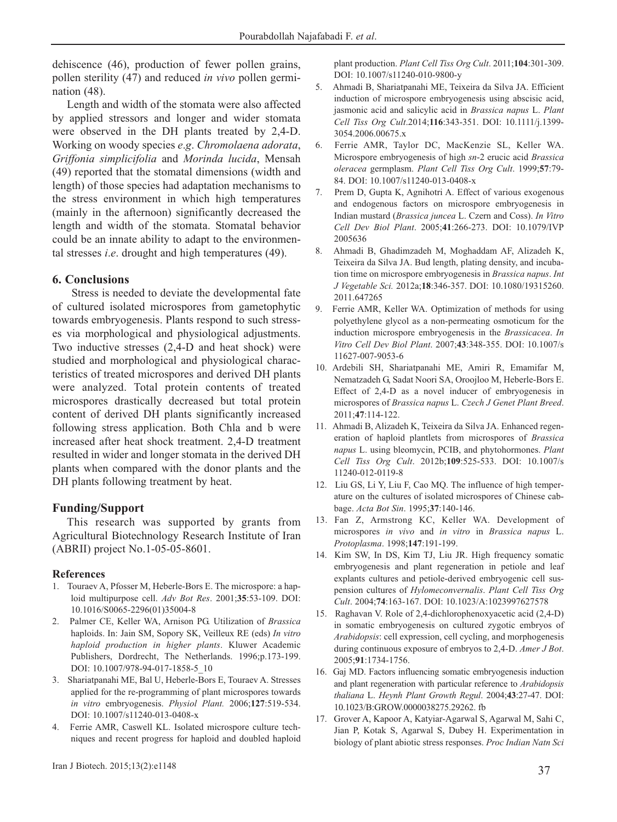dehiscence (46), production of fewer pollen grains, pollen sterility (47) and reduced *in vivo* pollen germination (48).

Length and width of the stomata were also affected by applied stressors and longer and wider stomata were observed in the DH plants treated by 2,4-D. Working on woody species *e*.*g*. *Chromolaena adorata*, *Griffonia simplicifolia* and *Morinda lucida*, Mensah (49) reported that the stomatal dimensions (width and length) of those species had adaptation mechanisms to the stress environment in which high temperatures (mainly in the afternoon) significantly decreased the length and width of the stomata. Stomatal behavior could be an innate ability to adapt to the environmental stresses *i*.*e*. drought and high temperatures (49).

# **6. Conclusions**

Stress is needed to deviate the developmental fate of cultured isolated microspores from gametophytic towards embryogenesis. Plants respond to such stresses via morphological and physiological adjustments. Two inductive stresses (2,4-D and heat shock) were studied and morphological and physiological characteristics of treated microspores and derived DH plants were analyzed. Total protein contents of treated microspores drastically decreased but total protein content of derived DH plants significantly increased following stress application. Both Chla and b were increased after heat shock treatment. 2,4-D treatment resulted in wider and longer stomata in the derived DH plants when compared with the donor plants and the DH plants following treatment by heat.

# **Funding/Support**

This research was supported by grants from Agricultural Biotechnology Research Institute of Iran (ABRII) project No.1-05-05-8601.

# **References**

- 1. Touraev A, Pfosser M, Heberle-Bors E. The microspore: a haploid multipurpose cell. *Adv Bot Res*. 2001;**35**:53-109. DOI: 10.1016/S0065-2296(01)35004-8
- 2. Palmer CE, Keller WA, Arnison PG. Utilization of *Brassica* haploids. In: Jain SM, Sopory SK, Veilleux RE (eds) *In vitro haploid production in higher plants*. Kluwer Academic Publishers, Dordrecht, The Netherlands. 1996;p.173-199. DOI: 10.1007/978-94-017-1858-5\_10
- 3. Shariatpanahi ME, Bal U, Heberle-Bors E, Touraev A. Stresses applied for the re-programming of plant microspores towards *in vitro* embryogenesis. *Physiol Plant.* 2006;**127**:519-534. DOI: 10.1007/s11240-013-0408-x
- 4. Ferrie AMR, Caswell KL. Isolated microspore culture techniques and recent progress for haploid and doubled haploid

plant production. *Plant Cell Tiss Org Cult*. 2011;**104**:301-309. DOI: 10.1007/s11240-010-9800-y

- 5. Ahmadi B, Shariatpanahi ME, Teixeira da Silva JA. Efficient induction of microspore embryogenesis using abscisic acid, jasmonic acid and salicylic acid in *Brassica napus* L. *Plant Cell Tiss Org Cult*.2014;**116**:343-351. DOI: 10.1111/j.1399- 3054.2006.00675.x
- 6. Ferrie AMR, Taylor DC, MacKenzie SL, Keller WA. Microspore embryogenesis of high *sn*-2 erucic acid *Brassica oleracea* germplasm. *Plant Cell Tiss Org Cult*. 1999;**57**:79- 84. DOI: 10.1007/s11240-013-0408-x
- 7. Prem D, Gupta K, Agnihotri A. Effect of various exogenous and endogenous factors on microspore embryogenesis in Indian mustard (*Brassica juncea* L. Czern and Coss). *In Vitro Cell Dev Biol Plant*. 2005;**41**:266-273. DOI: 10.1079/IVP 2005636
- 8. Ahmadi B, Ghadimzadeh M, Moghaddam AF, Alizadeh K, Teixeira da Silva JA. Bud length, plating density, and incubation time on microspore embryogenesis in *Brassica napus*. *Int J Vegetable Sci.* 2012a;**18**:346-357. DOI: 10.1080/19315260. 2011.647265
- 9. Ferrie AMR, Keller WA. Optimization of methods for using polyethylene glycol as a non-permeating osmoticum for the induction microspore embryogenesis in the *Brassicacea*. *In Vitro Cell Dev Biol Plant*. 2007;**43**:348-355. DOI: 10.1007/s 11627-007-9053-6
- 10. Ardebili SH, Shariatpanahi ME, Amiri R, Emamifar M, Nematzadeh G, Sadat Noori SA, Oroojloo M, Heberle-Bors E. Effect of 2,4-D as a novel inducer of embryogenesis in microspores of *Brassica napus* L. *Czech J Genet Plant Breed*. 2011;**47**:114-122.
- 11. Ahmadi B, Alizadeh K, Teixeira da Silva JA. Enhanced regeneration of haploid plantlets from microspores of *Brassica napus* L. using bleomycin, PCIB, and phytohormones. *Plant Cell Tiss Org Cult*. 2012b;**109**:525-533. DOI: 10.1007/s 11240-012-0119-8
- 12. Liu GS, Li Y, Liu F, Cao MQ. The influence of high temperature on the cultures of isolated microspores of Chinese cabbage. *Acta Bot Sin*. 1995;**37**:140-146.
- 13. Fan Z, Armstrong KC, Keller WA. Development of microspores *in vivo* and *in vitro* in *Brassica napus* L. *Protoplasma*. 1998;**147**:191-199.
- 14. Kim SW, In DS, Kim TJ, Liu JR. High frequency somatic embryogenesis and plant regeneration in petiole and leaf explants cultures and petiole-derived embryogenic cell suspension cultures of *Hylomeconvernalis*. *Plant Cell Tiss Org Cult*. 2004;**74**:163-167. DOI: 10.1023/A:1023997627578
- 15. Raghavan V. Role of 2,4-dichlorophenoxyacetic acid (2,4-D) in somatic embryogenesis on cultured zygotic embryos of *Arabidopsis*: cell expression, cell cycling, and morphogenesis during continuous exposure of embryos to 2,4-D. *Amer J Bot*. 2005;**91**:1734-1756.
- 16. Gaj MD. Factors influencing somatic embryogenesis induction and plant regeneration with particular reference to *Arabidopsis thaliana* L. *Heynh Plant Growth Regul*. 2004;**43**:27-47. DOI: 10.1023/B:GROW.0000038275.29262. fb
- 17. Grover A, Kapoor A, Katyiar-Agarwal S, Agarwal M, Sahi C, Jian P, Kotak S, Agarwal S, Dubey H. Experimentation in biology of plant abiotic stress responses. *Proc Indian Natn Sci*